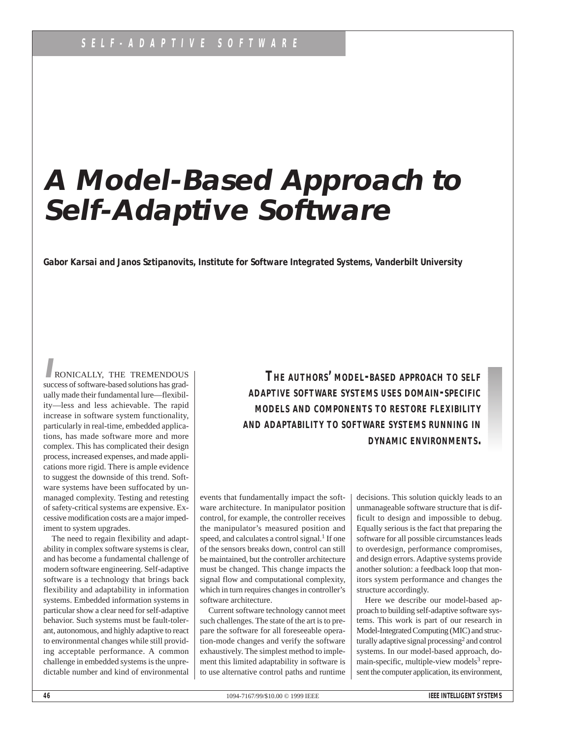# **A Model-Based Approach to Self-Adaptive Software**

**Gabor Karsai and Janos Sztipanovits, Institute for Software Integrated Systems, Vanderbilt University**

**I**RONICALLY, THE TREMENDOUS success of software-based solutions has gradually made their fundamental lure—flexibility—less and less achievable. The rapid increase in software system functionality, particularly in real-time, embedded applications, has made software more and more complex. This has complicated their design process, increased expenses, and made applications more rigid. There is ample evidence to suggest the downside of this trend. Software systems have been suffocated by unmanaged complexity. Testing and retesting of safety-critical systems are expensive. Excessive modification costs are a major impediment to system upgrades.

The need to regain flexibility and adaptability in complex software systems is clear, and has become a fundamental challenge of modern software engineering. Self-adaptive software is a technology that brings back flexibility and adaptability in information systems. Embedded information systems in particular show a clear need for self-adaptive behavior. Such systems must be fault-tolerant, autonomous, and highly adaptive to react to environmental changes while still providing acceptable performance. A common challenge in embedded systems is the unpredictable number and kind of environmental

*THE AUTHORS' MODEL-BASED APPROACH TO SELF ADAPTIVE SOFTWARE SYSTEMS USES DOMAIN-SPECIFIC MODELS AND COMPONENTS TO RESTORE FLEXIBILITY AND ADAPTABILITY TO SOFTWARE SYSTEMS RUNNING IN DYNAMIC ENVIRONMENTS.*

events that fundamentally impact the software architecture. In manipulator position control, for example, the controller receives the manipulator's measured position and speed, and calculates a control signal.<sup>1</sup> If one of the sensors breaks down, control can still be maintained, but the controller architecture must be changed. This change impacts the signal flow and computational complexity, which in turn requires changes in controller's software architecture.

Current software technology cannot meet such challenges. The state of the art is to prepare the software for all foreseeable operation-mode changes and verify the software exhaustively. The simplest method to implement this limited adaptability in software is to use alternative control paths and runtime decisions. This solution quickly leads to an unmanageable software structure that is difficult to design and impossible to debug. Equally serious is the fact that preparing the software for all possible circumstances leads to overdesign, performance compromises, and design errors. Adaptive systems provide another solution: a feedback loop that monitors system performance and changes the structure accordingly.

Here we describe our model-based approach to building self-adaptive software systems. This work is part of our research in Model-Integrated Computing (MIC) and structurally adaptive signal processing<sup>2</sup> and control systems. In our model-based approach, domain-specific, multiple-view models $3$  represent the computer application, its environment,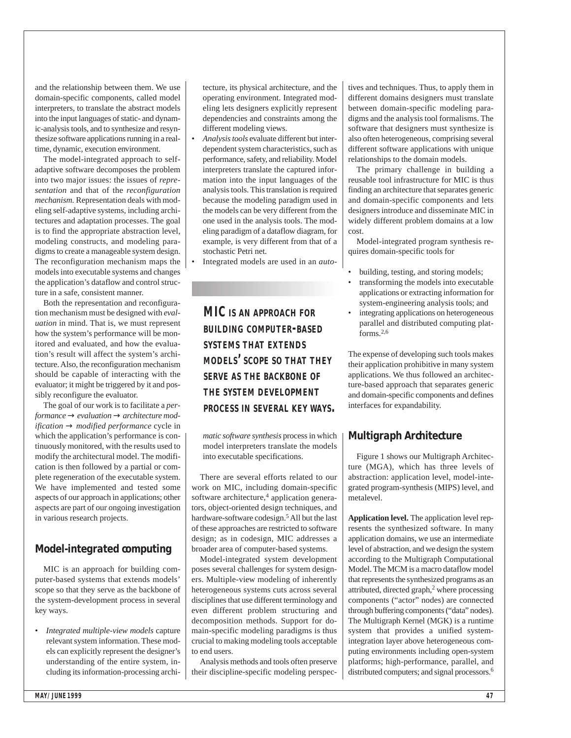and the relationship between them. We use domain-specific components, called model interpreters, to translate the abstract models into the input languages of static- and dynamic-analysis tools, and to synthesize and resynthesize software applications running in a realtime, dynamic, execution environment.

The model-integrated approach to selfadaptive software decomposes the problem into two major issues: the issues of *representation* and that of the *reconfiguration mechanism.* Representation deals with modeling self-adaptive systems, including architectures and adaptation processes. The goal is to find the appropriate abstraction level, modeling constructs, and modeling paradigms to create a manageable system design. The reconfiguration mechanism maps the models into executable systems and changes the application's dataflow and control structure in a safe, consistent manner.

Both the representation and reconfiguration mechanism must be designed with *evaluation* in mind. That is, we must represent how the system's performance will be monitored and evaluated, and how the evaluation's result will affect the system's architecture. Also, the reconfiguration mechanism should be capable of interacting with the evaluator; it might be triggered by it and possibly reconfigure the evaluator.

The goal of our work is to facilitate a *performance* → *evaluation* → *architecture modification* → *modified performance* cycle in which the application's performance is continuously monitored, with the results used to modify the architectural model. The modification is then followed by a partial or complete regeneration of the executable system. We have implemented and tested some aspects of our approach in applications; other aspects are part of our ongoing investigation in various research projects.

#### **Model-integrated computing**

MIC is an approach for building computer-based systems that extends models' scope so that they serve as the backbone of the system-development process in several key ways.

• *Integrated multiple-view models* capture relevant system information. These models can explicitly represent the designer's understanding of the entire system, including its information-processing archi-

tecture, its physical architecture, and the operating environment. Integrated modeling lets designers explicitly represent dependencies and constraints among the different modeling views.

• *Analysis tools* evaluate different but interdependent system characteristics, such as performance, safety, and reliability. Model interpreters translate the captured information into the input languages of the analysis tools. This translation is required because the modeling paradigm used in the models can be very different from the one used in the analysis tools. The modeling paradigm of a dataflow diagram, for example, is very different from that of a stochastic Petri net.

• Integrated models are used in an *auto-*

*MIC IS AN APPROACH FOR BUILDING COMPUTER-BASED SYSTEMS THAT EXTENDS MODELS' SCOPE SO THAT THEY SERVE AS THE BACKBONE OF THE SYSTEM DEVELOPMENT PROCESS IN SEVERAL KEY WAYS.*

*matic software synthesis* process in which model interpreters translate the models into executable specifications.

There are several efforts related to our work on MIC, including domain-specific software architecture, <sup>4</sup> application generators, object-oriented design techniques, and hardware-software codesign.<sup>5</sup> All but the last of these approaches are restricted to software design; as in codesign, MIC addresses a broader area of computer-based systems.

Model-integrated system development poses several challenges for system designers. Multiple-view modeling of inherently heterogeneous systems cuts across several disciplines that use different terminology and even different problem structuring and decomposition methods. Support for domain-specific modeling paradigms is thus crucial to making modeling tools acceptable to end users.

Analysis methods and tools often preserve their discipline-specific modeling perspectives and techniques. Thus, to apply them in different domains designers must translate between domain-specific modeling paradigms and the analysis tool formalisms. The software that designers must synthesize is also often heterogeneous, comprising several different software applications with unique relationships to the domain models.

The primary challenge in building a reusable tool infrastructure for MIC is thus finding an architecture that separates generic and domain-specific components and lets designers introduce and disseminate MIC in widely different problem domains at a low cost.

Model-integrated program synthesis requires domain-specific tools for

- building, testing, and storing models;
- transforming the models into executable applications or extracting information for system-engineering analysis tools; and
- integrating applications on heterogeneous parallel and distributed computing platforms.2,6

The expense of developing such tools makes their application prohibitive in many system applications. We thus followed an architecture-based approach that separates generic and domain-specific components and defines interfaces for expandability.

#### **Multigraph Architecture**

Figure 1 shows our Multigraph Architecture (MGA), which has three levels of abstraction: application level, model-integrated program-synthesis (MIPS) level, and metalevel.

**Application level.** The application level represents the synthesized software. In many application domains, we use an intermediate level of abstraction, and we design the system according to the Multigraph Computational Model. The MCM is a macro dataflow model that represents the synthesized programs as an attributed, directed graph,<sup>2</sup> where processing components ("actor" nodes) are connected through buffering components ("data" nodes). The Multigraph Kernel (MGK) is a runtime system that provides a unified systemintegration layer above heterogeneous computing environments including open-system platforms; high-performance, parallel, and distributed computers; and signal processors.<sup>6</sup>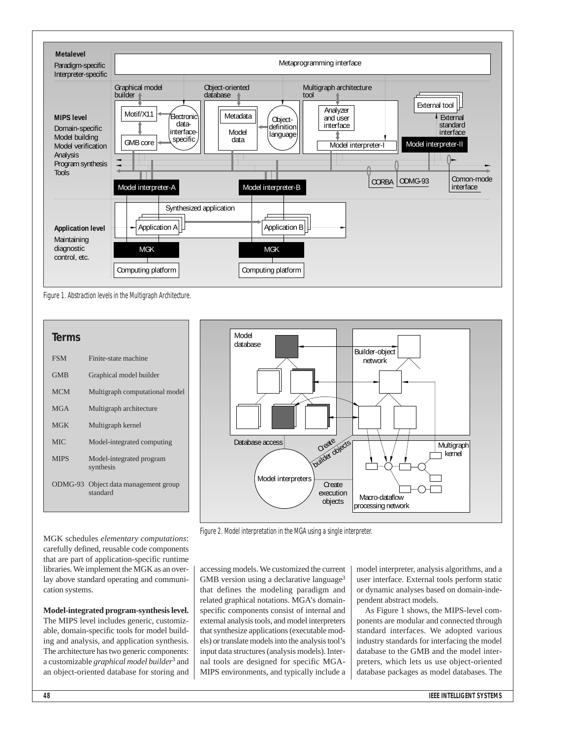

Figure 1. Abstraction levels in the Multigraph Architecture.

## **Terms** FSM Finite-state machine GMB Graphical model builder MCM Multigraph computational model MGA Multigraph architecture MGK Multigraph kernel MIC Model-integrated computing MIPS Model-integrated program synthesis ODMG-93 Object data management group standard



Figure 2. Model interpretation in the MGA using a single interpreter.

accessing models. We customized the current GMB version using a declarative language<sup>3</sup> that defines the modeling paradigm and related graphical notations. MGA's domainspecific components consist of internal and external analysis tools, and model interpreters that synthesize applications (executable models) or translate models into the analysis tool's input data structures (analysis models). Internal tools are designed for specific MGA-MIPS environments, and typically include a model interpreter, analysis algorithms, and a user interface. External tools perform static or dynamic analyses based on domain-independent abstract models.

As Figure 1 shows, the MIPS-level components are modular and connected through standard interfaces. We adopted various industry standards for interfacing the model database to the GMB and the model interpreters, which lets us use object-oriented database packages as model databases. The

MGK schedules *elementary computations*: carefully defined, reusable code components that are part of application-specific runtime libraries. We implement the MGK as an overlay above standard operating and communication systems.

**Model-integrated program-synthesis level.** The MIPS level includes generic, customizable, domain-specific tools for model building and analysis, and application synthesis. The architecture has two generic components: a customizable *graphical model builder*<sup>3</sup> and an object-oriented database for storing and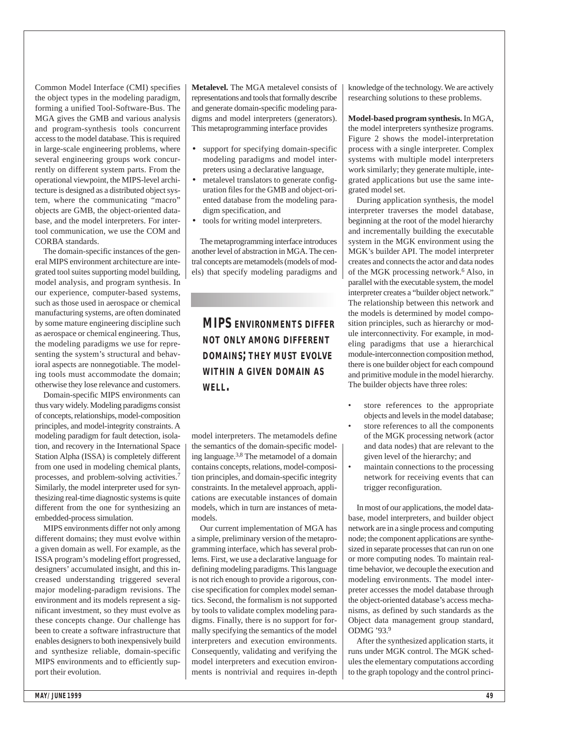Common Model Interface (CMI) specifies the object types in the modeling paradigm, forming a unified Tool-Software-Bus. The MGA gives the GMB and various analysis and program-synthesis tools concurrent access to the model database. This is required in large-scale engineering problems, where several engineering groups work concurrently on different system parts. From the operational viewpoint, the MIPS-level architecture is designed as a distributed object system, where the communicating "macro" objects are GMB, the object-oriented database, and the model interpreters. For intertool communication, we use the COM and CORBA standards.

The domain-specific instances of the general MIPS environment architecture are integrated tool suites supporting model building, model analysis, and program synthesis. In our experience, computer-based systems, such as those used in aerospace or chemical manufacturing systems, are often dominated by some mature engineering discipline such as aerospace or chemical engineering. Thus, the modeling paradigms we use for representing the system's structural and behavioral aspects are nonnegotiable. The modeling tools must accommodate the domain; otherwise they lose relevance and customers.

Domain-specific MIPS environments can thus vary widely. Modeling paradigms consist of concepts, relationships, model-composition principles, and model-integrity constraints. A modeling paradigm for fault detection, isolation, and recovery in the International Space Station Alpha (ISSA) is completely different from one used in modeling chemical plants, processes, and problem-solving activities.7 Similarly, the model interpreter used for synthesizing real-time diagnostic systems is quite different from the one for synthesizing an embedded-process simulation.

MIPS environments differ not only among different domains; they must evolve within a given domain as well. For example, as the ISSA program's modeling effort progressed, designers' accumulated insight, and this increased understanding triggered several major modeling-paradigm revisions. The environment and its models represent a significant investment, so they must evolve as these concepts change. Our challenge has been to create a software infrastructure that enables designers to both inexpensively build and synthesize reliable, domain-specific MIPS environments and to efficiently support their evolution.

**Metalevel.** The MGA metalevel consists of representations and tools that formally describe and generate domain-specific modeling paradigms and model interpreters (generators). This metaprogramming interface provides

- support for specifying domain-specific modeling paradigms and model interpreters using a declarative language,
- metalevel translators to generate configuration files for the GMB and object-oriented database from the modeling paradigm specification, and
- tools for writing model interpreters.

The metaprogramming interface introduces another level of abstraction in MGA. The central concepts are metamodels (models of models) that specify modeling paradigms and

## *MIPS ENVIRONMENTS DIFFER NOT ONLY AMONG DIFFERENT DOMAINS; THEY MUST EVOLVE WITHIN A GIVEN DOMAIN AS WELL.*

model interpreters. The metamodels define the semantics of the domain-specific modeling language. 3,8 The metamodel of a domain contains concepts, relations, model-composition principles, and domain-specific integrity constraints. In the metalevel approach, applications are executable instances of domain models, which in turn are instances of metamodels.

Our current implementation of MGA has a simple, preliminary version of the metaprogramming interface, which has several problems. First, we use a declarative language for defining modeling paradigms. This language is not rich enough to provide a rigorous, concise specification for complex model semantics. Second, the formalism is not supported by tools to validate complex modeling paradigms. Finally, there is no support for formally specifying the semantics of the model interpreters and execution environments. Consequently, validating and verifying the model interpreters and execution environments is nontrivial and requires in-depth knowledge of the technology. We are actively researching solutions to these problems.

**Model-based program synthesis.** In MGA, the model interpreters synthesize programs. Figure 2 shows the model-interpretation process with a single interpreter. Complex systems with multiple model interpreters work similarly; they generate multiple, integrated applications but use the same integrated model set.

During application synthesis, the model interpreter traverses the model database, beginning at the root of the model hierarchy and incrementally building the executable system in the MGK environment using the MGK's builder API. The model interpreter creates and connects the actor and data nodes of the MGK processing network.6 Also, in parallel with the executable system, the model interpreter creates a "builder object network." The relationship between this network and the models is determined by model composition principles, such as hierarchy or module interconnectivity. For example, in modeling paradigms that use a hierarchical module-interconnection composition method, there is one builder object for each compound and primitive module in the model hierarchy. The builder objects have three roles:

- store references to the appropriate objects and levels in the model database;
- store references to all the components of the MGK processing network (actor and data nodes) that are relevant to the given level of the hierarchy; and
- maintain connections to the processing network for receiving events that can trigger reconfiguration.

In most of our applications, the model database, model interpreters, and builder object network are in a single process and computing node; the component applications are synthesized in separate processes that can run on one or more computing nodes. To maintain realtime behavior, we decouple the execution and modeling environments. The model interpreter accesses the model database through the object-oriented database's access mechanisms, as defined by such standards as the Object data management group standard, ODMG '93.9

After the synthesized application starts, it runs under MGK control. The MGK schedules the elementary computations according to the graph topology and the control princi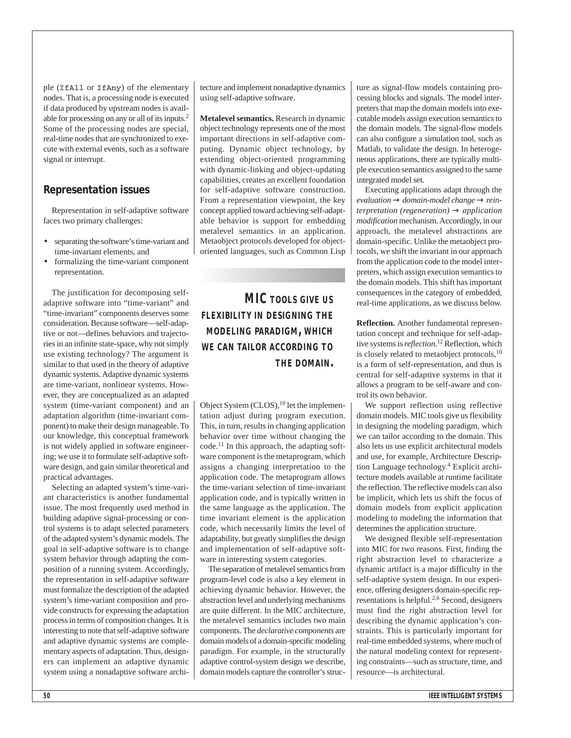ple (IfAll or IfAny) of the elementary nodes. That is, a processing node is executed if data produced by upstream nodes is available for processing on any or all of its inputs.2 Some of the processing nodes are special, real-time nodes that are synchronized to execute with external events, such as a software signal or interrupt.

#### **Representation issues**

Representation in self-adaptive software faces two primary challenges:

- separating the software's time-variant and time-invariant elements, and
- formalizing the time-variant component representation.

The justification for decomposing selfadaptive software into "time-variant" and "time-invariant" components deserves some consideration. Because software—self-adaptive or not—defines behaviors and trajectories in an infinite state-space, why not simply use existing technology? The argument is similar to that used in the theory of adaptive dynamic systems. Adaptive dynamic systems are time-variant, nonlinear systems. However, they are conceptualized as an adapted system (time-variant component) and an adaptation algorithm (time-invariant component) to make their design manageable. To our knowledge, this conceptual framework is not widely applied in software engineering; we use it to formulate self-adaptive software design, and gain similar theoretical and practical advantages.

Selecting an adapted system's time-variant characteristics is another fundamental issue. The most frequently used method in building adaptive signal-processing or control systems is to adapt selected parameters of the adapted system's dynamic models. The goal in self-adaptive software is to change system behavior through adapting the composition of a running system. Accordingly, the representation in self-adaptive software must formalize the description of the adapted system's time-variant composition and provide constructs for expressing the adaptation process in terms of composition changes. It is interesting to note that self-adaptive software and adaptive dynamic systems are complementary aspects of adaptation. Thus, designers can implement an adaptive dynamic system using a nonadaptive software architecture and implement nonadaptive dynamics using self-adaptive software.

**Metalevel semantics.** Research in dynamic object technology represents one of the most important directions in self-adaptive computing. Dynamic object technology, by extending object-oriented programming with dynamic-linking and object-updating capabilities, creates an excellent foundation for self-adaptive software construction. From a representation viewpoint, the key concept applied toward achieving self-adaptable behavior is support for embedding metalevel semantics in an application. Metaobject protocols developed for objectoriented languages, such as Common Lisp

*MIC TOOLS GIVE US FLEXIBILITY IN DESIGNING THE MODELING PARADIGM, WHICH WE CAN TAILOR ACCORDING TO THE DOMAIN.* 

Object System (CLOS),<sup>10</sup> let the implementation adjust during program execution. This, in turn, results in changing application behavior over time without changing the code. <sup>11</sup> In this approach, the adapting software component is the metaprogram, which assigns a changing interpretation to the application code. The metaprogram allows the time-variant selection of time-invariant application code, and is typically written in the same language as the application. The time invariant element is the application code, which necessarily limits the level of adaptability, but greatly simplifies the design and implementation of self-adaptive software in interesting system categories.

The separation of metalevel semantics from program-level code is also a key element in achieving dynamic behavior. However, the abstraction level and underlying mechanisms are quite different. In the MIC architecture, the metalevel semantics includes two main components. The *declarative components* are domain models of a domain-specific modeling paradigm. For example, in the structurally adaptive control-system design we describe, domain models capture the controller's structure as signal-flow models containing processing blocks and signals. The model interpreters that map the domain models into executable models assign execution semantics to the domain models*.* The signal-flow models can also configure a simulation tool, such as Matlab, to validate the design. In heterogeneous applications, there are typically multiple execution semantics assigned to the same integrated model set.

Executing applications adapt through the *evaluation* → *domain-model change* → *reinterpretation (regeneration)* → *application modification* mechanism. Accordingly, in our approach, the metalevel abstractions are domain-specific. Unlike the metaobject protocols, we shift the invariant in our approach from the application code to the model interpreters, which assign execution semantics to the domain models. This shift has important consequences in the category of embedded, real-time applications, as we discuss below.

**Reflection.** Another fundamental representation concept and technique for self-adaptive systems is *reflection.*<sup>12</sup> Reflection, which is closely related to metaobject protocols,<sup>10</sup> is a form of self-representation, and thus is central for self-adaptive systems in that it allows a program to be self-aware and control its own behavior.

We support reflection using reflective domain models. MIC tools give us flexibility in designing the modeling paradigm, which we can tailor according to the domain. This also lets us use explicit architectural models and use, for example, Architecture Description Language technology. <sup>4</sup> Explicit architecture models available at runtime facilitate the reflection. The reflective models can also be implicit*,* which lets us shift the focus of domain models from explicit application modeling to modeling the information that determines the application structure.

We designed flexible self-representation into MIC for two reasons. First, finding the right abstraction level to characterize a dynamic artifact is a major difficulty in the self-adaptive system design. In our experience, offering designers domain-specific representations is helpful.2,6 Second, designers must find the right abstraction level for describing the dynamic application's constraints. This is particularly important for real-time embedded systems, where much of the natural modeling context for representing constraints—such as structure, time, and resource—is architectural.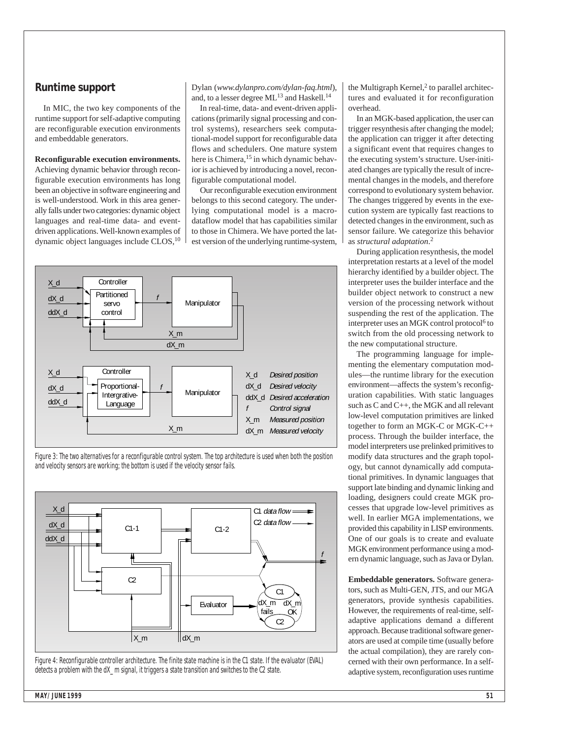#### **Runtime support**

In MIC, the two key components of the runtime support for self-adaptive computing are reconfigurable execution environments and embeddable generators.

#### **Reconfigurable execution environments.**

Achieving dynamic behavior through reconfigurable execution environments has long been an objective in software engineering and is well-understood. Work in this area generally falls under two categories: dynamic object languages and real-time data- and eventdriven applications. Well-known examples of dynamic object languages include CLOS, 10

Dylan (*www.dylanpro.com/dylan-faq.html*), and, to a lesser degree ML<sup>13</sup> and Haskell.<sup>14</sup>

In real-time, data- and event-driven applications (primarily signal processing and control systems), researchers seek computational-model support for reconfigurable data flows and schedulers. One mature system here is Chimera,<sup>15</sup> in which dynamic behavior is achieved by introducing a novel, reconfigurable computational model.

Our reconfigurable execution environment belongs to this second category. The underlying computational model is a macrodataflow model that has capabilities similar to those in Chimera. We have ported the latest version of the underlying runtime-system,



Figure 3: The two alternatives for a reconfigurable control system. The top architecture is used when both the position and velocity sensors are working; the bottom is used if the velocity sensor fails.



Figure 4: Reconfigurable controller architecture. The finite state machine is in the C1 state. If the evaluator (EVAL) detects a problem with the dX\_m signal, it triggers a state transition and switches to the C2 state.

the Multigraph Kernel, $2$  to parallel architectures and evaluated it for reconfiguration overhead.

In an MGK-based application, the user can trigger resynthesis after changing the model; the application can trigger it after detecting a significant event that requires changes to the executing system's structure. User-initiated changes are typically the result of incremental changes in the models, and therefore correspond to evolutionary system behavior. The changes triggered by events in the execution system are typically fast reactions to detected changes in the environment, such as sensor failure. We categorize this behavior as *structural adaptation*. 2

During application resynthesis, the model interpretation restarts at a level of the model hierarchy identified by a builder object. The interpreter uses the builder interface and the builder object network to construct a new version of the processing network without suspending the rest of the application. The interpreter uses an MGK control protocol<sup>6</sup> to switch from the old processing network to the new computational structure.

The programming language for implementing the elementary computation modules—the runtime library for the execution environment—affects the system's reconfiguration capabilities. With static languages such as C and C++, the MGK and all relevant low-level computation primitives are linked together to form an MGK-C or MGK-C++ process. Through the builder interface, the model interpreters use prelinked primitives to modify data structures and the graph topology, but cannot dynamically add computational primitives. In dynamic languages that support late binding and dynamic linking and loading, designers could create MGK processes that upgrade low-level primitives as well. In earlier MGA implementations, we provided this capability in LISP environments. One of our goals is to create and evaluate MGK environment performance using a modern dynamic language, such as Java or Dylan.

**Embeddable generators.** Software generators, such as Multi-GEN, JTS, and our MGA generators, provide synthesis capabilities. However, the requirements of real-time, selfadaptive applications demand a different approach. Because traditional software generators are used at compile time (usually before the actual compilation), they are rarely concerned with their own performance. In a selfadaptive system, reconfiguration uses runtime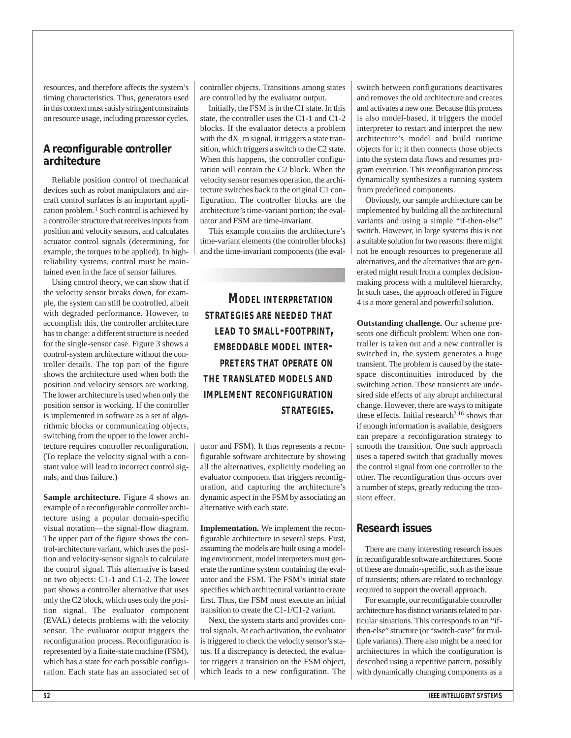resources, and therefore affects the system's timing characteristics. Thus, generators used in this context must satisfy stringent constraints on resource usage, including processor cycles.

#### **A reconfigurable controller architecture**

Reliable position control of mechanical devices such as robot manipulators and aircraft control surfaces is an important application problem.<sup>1</sup> Such control is achieved by a controller structure that receives inputs from position and velocity sensors, and calculates actuator control signals (determining, for example, the torques to be applied). In highreliability systems, control must be maintained even in the face of sensor failures.

Using control theory, we can show that if the velocity sensor breaks down, for example, the system can still be controlled, albeit with degraded performance. However, to accomplish this, the controller architecture has to change: a different structure is needed for the single-sensor case. Figure 3 shows a control-system architecture without the controller details. The top part of the figure shows the architecture used when both the position and velocity sensors are working. The lower architecture is used when only the position sensor is working. If the controller is implemented in software as a set of algorithmic blocks or communicating objects, switching from the upper to the lower architecture requires controller reconfiguration. (To replace the velocity signal with a constant value will lead to incorrect control signals, and thus failure.)

**Sample architecture.** Figure 4 shows an example of a reconfigurable controller architecture using a popular domain-specific visual notation—the signal-flow diagram. The upper part of the figure shows the control-architecture variant, which uses the position and velocity-sensor signals to calculate the control signal. This alternative is based on two objects: C1-1 and C1-2. The lower part shows a controller alternative that uses only the C2 block, which uses only the position signal. The evaluator component (EVAL) detects problems with the velocity sensor. The evaluator output triggers the reconfiguration process. Reconfiguration is represented by a finite-state machine (FSM), which has a state for each possible configuration. Each state has an associated set of controller objects. Transitions among states are controlled by the evaluator output.

Initially, the FSM is in the C1 state. In this state, the controller uses the C1-1 and C1-2 blocks. If the evaluator detects a problem with the dX\_m signal, it triggers a state transition, which triggers a switch to the C2 state. When this happens, the controller configuration will contain the C2 block. When the velocity sensor resumes operation, the architecture switches back to the original C1 configuration. The controller blocks are the architecture's time-variant portion; the evaluator and FSM are time-invariant.

This example contains the architecture's time-variant elements (the controller blocks) and the time-invariant components (the eval-

*MODEL INTERPRETATION STRATEGIES ARE NEEDED THAT LEAD TO SMALL-FOOTPRINT, EMBEDDABLE MODEL INTER-PRETERS THAT OPERATE ON THE TRANSLATED MODELS AND IMPLEMENT RECONFIGURATION STRATEGIES.* 

uator and FSM). It thus represents a reconfigurable software architecture by showing all the alternatives, explicitly modeling an evaluator component that triggers reconfiguration, and capturing the architecture's dynamic aspect in the FSM by associating an alternative with each state.

**Implementation.** We implement the reconfigurable architecture in several steps. First, assuming the models are built using a modeling environment, model interpreters must generate the runtime system containing the evaluator and the FSM. The FSM's initial state specifies which architectural variant to create first. Thus, the FSM must execute an initial transition to create the C1-1/C1-2 variant.

Next, the system starts and provides control signals. At each activation, the evaluator is triggered to check the velocity sensor's status. If a discrepancy is detected, the evaluator triggers a transition on the FSM object, which leads to a new configuration. The switch between configurations deactivates and removes the old architecture and creates and activates a new one. Because this process is also model-based, it triggers the model interpreter to restart and interpret the new architecture's model and build runtime objects for it; it then connects those objects into the system data flows and resumes program execution. This reconfiguration process dynamically synthesizes a running system from predefined components.

Obviously, our sample architecture can be implemented by building all the architectural variants and using a simple "if-then-else" switch. However, in large systems this is not a suitable solution for two reasons: there might not be enough resources to pregenerate all alternatives, and the alternatives that are generated might result from a complex decisionmaking process with a multilevel hierarchy. In such cases, the approach offered in Figure 4 is a more general and powerful solution.

**Outstanding challenge.** Our scheme presents one difficult problem: When one controller is taken out and a new controller is switched in, the system generates a huge transient. The problem is caused by the statespace discontinuities introduced by the switching action. These transients are undesired side effects of any abrupt architectural change. However, there are ways to mitigate these effects. Initial research<sup>2,16</sup> shows that if enough information is available, designers can prepare a reconfiguration strategy to smooth the transition. One such approach uses a tapered switch that gradually moves the control signal from one controller to the other. The reconfiguration thus occurs over a number of steps, greatly reducing the transient effect.

#### **Research issues**

There are many interesting research issues in reconfigurable software architectures. Some of these are domain-specific, such as the issue of transients; others are related to technology required to support the overall approach.

For example, our reconfigurable controller architecture has distinct variants related to particular situations. This corresponds to an "ifthen-else" structure (or "switch-case" for multiple variants). There also might be a need for architectures in which the configuration is described using a repetitive pattern, possibly with dynamically changing components as a